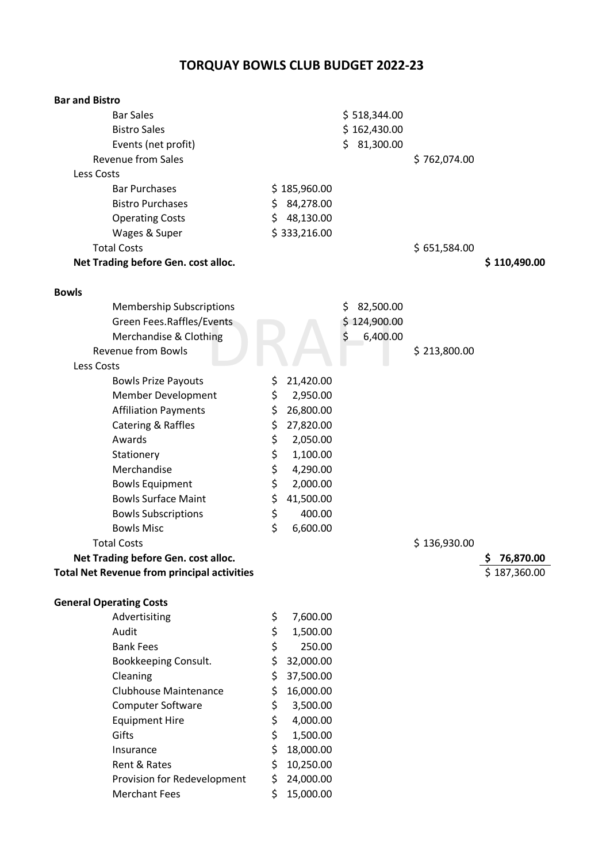## **TORQUAY BOWLS CLUB BUDGET 2022-23**

| <b>Bar and Bistro</b>                              |    |              |                 |              |                |
|----------------------------------------------------|----|--------------|-----------------|--------------|----------------|
| <b>Bar Sales</b>                                   |    |              | \$518,344.00    |              |                |
| <b>Bistro Sales</b>                                |    |              | \$162,430.00    |              |                |
| Events (net profit)                                |    |              | 81,300.00<br>\$ |              |                |
| <b>Revenue from Sales</b>                          |    |              |                 | \$762,074.00 |                |
| <b>Less Costs</b>                                  |    |              |                 |              |                |
| <b>Bar Purchases</b>                               |    | \$185,960.00 |                 |              |                |
| <b>Bistro Purchases</b>                            | \$ | 84,278.00    |                 |              |                |
| <b>Operating Costs</b>                             | \$ | 48,130.00    |                 |              |                |
| Wages & Super                                      |    | \$333,216.00 |                 |              |                |
| <b>Total Costs</b>                                 |    |              |                 | \$651,584.00 |                |
| Net Trading before Gen. cost alloc.                |    |              |                 |              | \$110,490.00   |
| <b>Bowls</b>                                       |    |              |                 |              |                |
| <b>Membership Subscriptions</b>                    |    |              | 82,500.00<br>Ş  |              |                |
| Green Fees.Raffles/Events                          |    |              | 124,900.00      |              |                |
| Merchandise & Clothing                             |    |              | \$<br>6,400.00  |              |                |
| <b>Revenue from Bowls</b>                          |    |              |                 | \$213,800.00 |                |
| Less Costs                                         |    |              |                 |              |                |
| <b>Bowls Prize Payouts</b>                         | \$ | 21,420.00    |                 |              |                |
| Member Development                                 | \$ | 2,950.00     |                 |              |                |
| <b>Affiliation Payments</b>                        | \$ | 26,800.00    |                 |              |                |
| Catering & Raffles                                 | \$ | 27,820.00    |                 |              |                |
| Awards                                             | \$ | 2,050.00     |                 |              |                |
| Stationery                                         | \$ | 1,100.00     |                 |              |                |
| Merchandise                                        | \$ | 4,290.00     |                 |              |                |
| <b>Bowls Equipment</b>                             | \$ | 2,000.00     |                 |              |                |
| <b>Bowls Surface Maint</b>                         | \$ | 41,500.00    |                 |              |                |
| <b>Bowls Subscriptions</b>                         | \$ | 400.00       |                 |              |                |
| <b>Bowls Misc</b>                                  | \$ | 6,600.00     |                 |              |                |
| <b>Total Costs</b>                                 |    |              |                 | \$136,930.00 |                |
| Net Trading before Gen. cost alloc.                |    |              |                 |              | 76,870.00<br>⋗ |
| <b>Total Net Revenue from principal activities</b> |    |              |                 |              | \$187,360.00   |
| <b>General Operating Costs</b>                     |    |              |                 |              |                |
| Advertisiting                                      | \$ | 7,600.00     |                 |              |                |
| Audit                                              | \$ | 1,500.00     |                 |              |                |
| <b>Bank Fees</b>                                   | \$ | 250.00       |                 |              |                |
| Bookkeeping Consult.                               | \$ | 32,000.00    |                 |              |                |
| Cleaning                                           | Ś  | 37,500.00    |                 |              |                |
| <b>Clubhouse Maintenance</b>                       | \$ | 16,000.00    |                 |              |                |
| Computer Software                                  | \$ | 3,500.00     |                 |              |                |
| <b>Equipment Hire</b>                              | \$ | 4,000.00     |                 |              |                |
| Gifts                                              | \$ | 1,500.00     |                 |              |                |
| Insurance                                          | \$ | 18,000.00    |                 |              |                |
| Rent & Rates                                       | \$ | 10,250.00    |                 |              |                |
| Provision for Redevelopment                        | \$ | 24,000.00    |                 |              |                |
| <b>Merchant Fees</b>                               | \$ | 15,000.00    |                 |              |                |
|                                                    |    |              |                 |              |                |